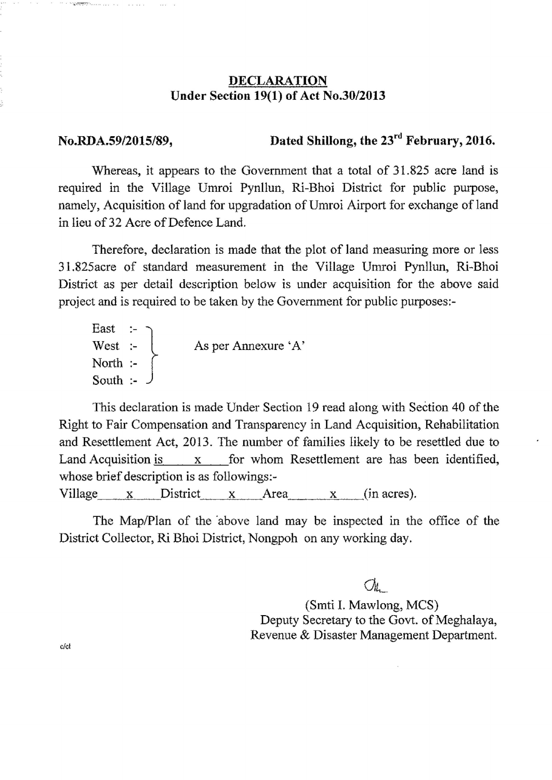## DECLARATION Under Section 19(1) of Act No.30/2013

....... .. .....

No.RDA.59/2015/89, Dated Shillong, the  $23<sup>rd</sup>$  February, 2016.

Whereas, it appears to the Government that a total of 31.825 acre land is required in the Village Umroi Pynllun, Ri-Bhoi District for public purpose, namely, Acquisition of land for upgradation of Umroi Airport for exchange of land in lieu of 32 Acre of Defence Land.

Therefore, declaration is made that the plot of land measuring more or less 31.825acre of standard measurement in the Village Umroi Pynllun, Ri-Bhoi District as per detail description below is under acquisition for the above said project and is required to be taken by the Government for public purposes.

East West :-  $\begin{cases} \text{As per An} \\ \text{A's per A'} \end{cases}$ North South :-

This declaration is made Under Section 19 read along with Section 40 of the Right to Fair Compensation and Transparency in Land Acquisition, Rehabilitation and Resettlement Act, 2013. The number of families likely to be resettled due to Land Acquisition is x for whom Resettlement are has been identified, whose brief description is as followings.

Village  $x$  District  $x$  Area  $x$  (in acres).

The Map/Plan of the 'above land may be inspected in the office of the District Collector, Ri Bhoi District, Nongpoh on any working day.

 $\bigcirc_{\mathcal{U}_{\text{L}}}\bigcirc$ (Smti 1. Mawlong, MCS) Deputy Secretary to the Govt. of Meghalaya, Revenue & Disaster Management Department.